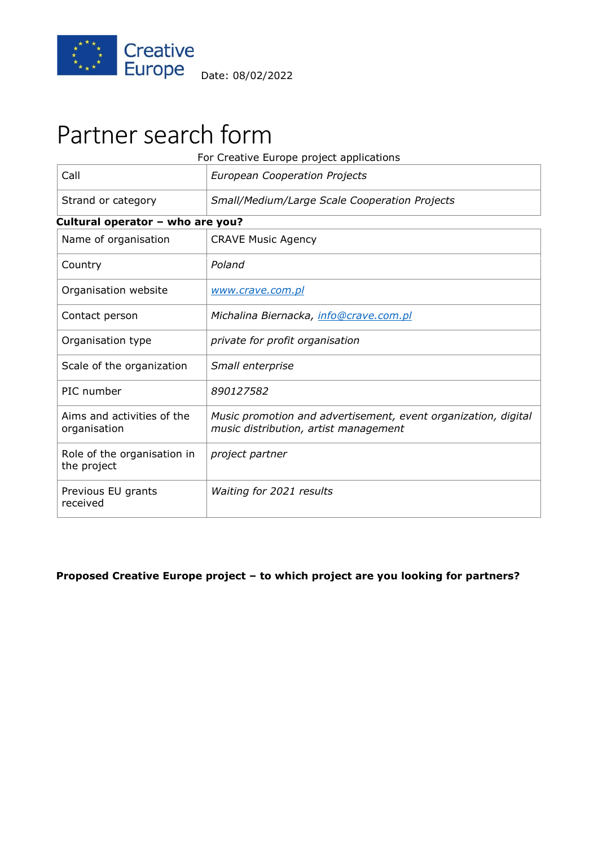

# Partner search form

| For Creative Europe project applications   |                                                                                                         |  |
|--------------------------------------------|---------------------------------------------------------------------------------------------------------|--|
| Call                                       | <b>European Cooperation Projects</b>                                                                    |  |
| Strand or category                         | Small/Medium/Large Scale Cooperation Projects                                                           |  |
| Cultural operator - who are you?           |                                                                                                         |  |
| Name of organisation                       | <b>CRAVE Music Agency</b>                                                                               |  |
| Country                                    | Poland                                                                                                  |  |
| Organisation website                       | www.crave.com.pl                                                                                        |  |
| Contact person                             | Michalina Biernacka, info@crave.com.pl                                                                  |  |
| Organisation type                          | private for profit organisation                                                                         |  |
| Scale of the organization                  | Small enterprise                                                                                        |  |
| PIC number                                 | 890127582                                                                                               |  |
| Aims and activities of the<br>organisation | Music promotion and advertisement, event organization, digital<br>music distribution, artist management |  |
| Role of the organisation in<br>the project | project partner                                                                                         |  |
| Previous EU grants<br>received             | Waiting for 2021 results                                                                                |  |

## **Proposed Creative Europe project – to which project are you looking for partners?**